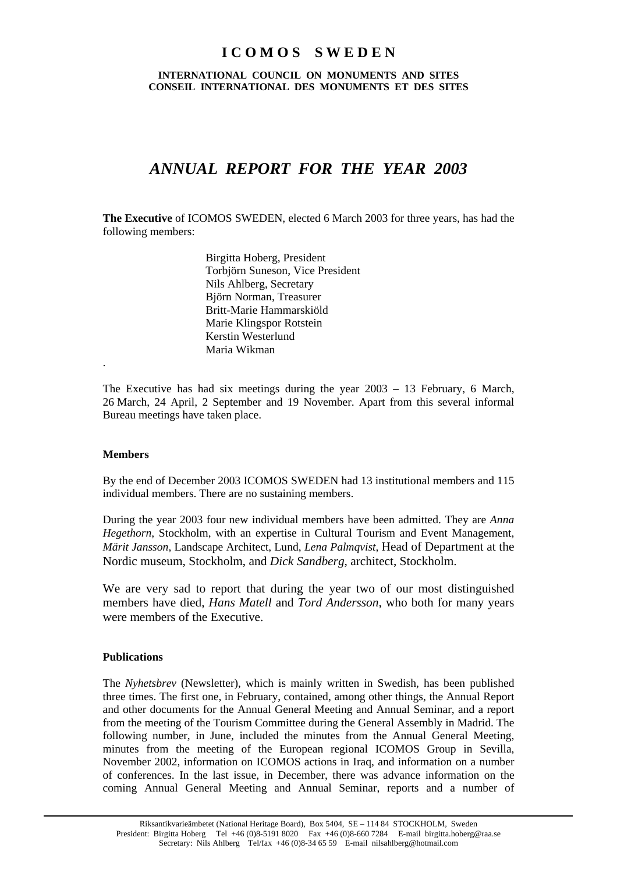## **I C O M O S S W E D E N**

**INTERNATIONAL COUNCIL ON MONUMENTS AND SITES CONSEIL INTERNATIONAL DES MONUMENTS ET DES SITES** 

# *ANNUAL REPORT FOR THE YEAR 2003*

**The Executive** of ICOMOS SWEDEN, elected 6 March 2003 for three years, has had the following members:

> Birgitta Hoberg, President Torbjörn Suneson, Vice President Nils Ahlberg, Secretary Björn Norman, Treasurer Britt-Marie Hammarskiöld Marie Klingspor Rotstein Kerstin Westerlund Maria Wikman

The Executive has had six meetings during the year 2003 – 13 February, 6 March, 26 March, 24 April, 2 September and 19 November. Apart from this several informal Bureau meetings have taken place.

#### **Members**

.

By the end of December 2003 ICOMOS SWEDEN had 13 institutional members and 115 individual members. There are no sustaining members.

During the year 2003 four new individual members have been admitted. They are *Anna Hegethorn*, Stockholm, with an expertise in Cultural Tourism and Event Management, *Märit Jansson*, Landscape Architect, Lund, *Lena Palmqvist*, Head of Department at the Nordic museum, Stockholm, and *Dick Sandberg*, architect, Stockholm.

We are very sad to report that during the year two of our most distinguished members have died, *Hans Matell* and *Tord Andersson*, who both for many years were members of the Executive.

#### **Publications**

The *Nyhetsbrev* (Newsletter), which is mainly written in Swedish, has been published three times. The first one, in February, contained, among other things, the Annual Report and other documents for the Annual General Meeting and Annual Seminar, and a report from the meeting of the Tourism Committee during the General Assembly in Madrid. The following number, in June, included the minutes from the Annual General Meeting, minutes from the meeting of the European regional ICOMOS Group in Sevilla, November 2002, information on ICOMOS actions in Iraq, and information on a number of conferences. In the last issue, in December, there was advance information on the coming Annual General Meeting and Annual Seminar, reports and a number of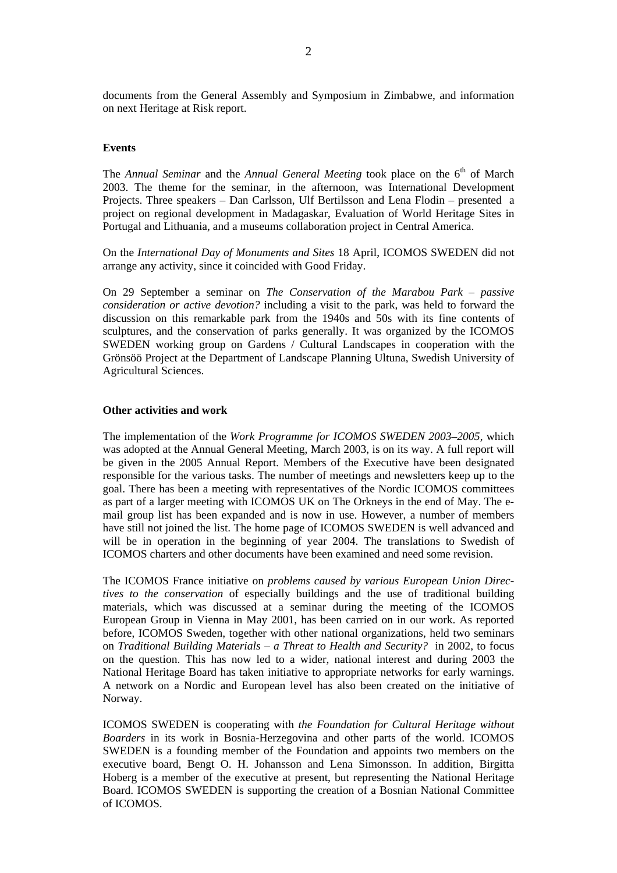documents from the General Assembly and Symposium in Zimbabwe, and information on next Heritage at Risk report.

#### **Events**

The *Annual Seminar* and the *Annual General Meeting* took place on the 6<sup>th</sup> of March 2003. The theme for the seminar, in the afternoon, was International Development Projects. Three speakers – Dan Carlsson, Ulf Bertilsson and Lena Flodin – presented a project on regional development in Madagaskar, Evaluation of World Heritage Sites in Portugal and Lithuania, and a museums collaboration project in Central America.

On the *International Day of Monuments and Sites* 18 April, ICOMOS SWEDEN did not arrange any activity, since it coincided with Good Friday.

On 29 September a seminar on *The Conservation of the Marabou Park – passive consideration or active devotion?* including a visit to the park, was held to forward the discussion on this remarkable park from the 1940s and 50s with its fine contents of sculptures, and the conservation of parks generally. It was organized by the ICOMOS SWEDEN working group on Gardens / Cultural Landscapes in cooperation with the Grönsöö Project at the Department of Landscape Planning Ultuna, Swedish University of Agricultural Sciences.

#### **Other activities and work**

The implementation of the *Work Programme for ICOMOS SWEDEN 2003–2005*, which was adopted at the Annual General Meeting, March 2003, is on its way. A full report will be given in the 2005 Annual Report. Members of the Executive have been designated responsible for the various tasks. The number of meetings and newsletters keep up to the goal. There has been a meeting with representatives of the Nordic ICOMOS committees as part of a larger meeting with ICOMOS UK on The Orkneys in the end of May. The email group list has been expanded and is now in use. However, a number of members have still not joined the list. The home page of ICOMOS SWEDEN is well advanced and will be in operation in the beginning of year 2004. The translations to Swedish of ICOMOS charters and other documents have been examined and need some revision.

The ICOMOS France initiative on *problems caused by various European Union Directives to the conservation* of especially buildings and the use of traditional building materials, which was discussed at a seminar during the meeting of the ICOMOS European Group in Vienna in May 2001, has been carried on in our work. As reported before, ICOMOS Sweden, together with other national organizations, held two seminars on *Traditional Building Materials – a Threat to Health and Security?* in 2002, to focus on the question. This has now led to a wider, national interest and during 2003 the National Heritage Board has taken initiative to appropriate networks for early warnings. A network on a Nordic and European level has also been created on the initiative of Norway.

ICOMOS SWEDEN is cooperating with *the Foundation for Cultural Heritage without Boarders* in its work in Bosnia-Herzegovina and other parts of the world. ICOMOS SWEDEN is a founding member of the Foundation and appoints two members on the executive board, Bengt O. H. Johansson and Lena Simonsson. In addition, Birgitta Hoberg is a member of the executive at present, but representing the National Heritage Board. ICOMOS SWEDEN is supporting the creation of a Bosnian National Committee of ICOMOS.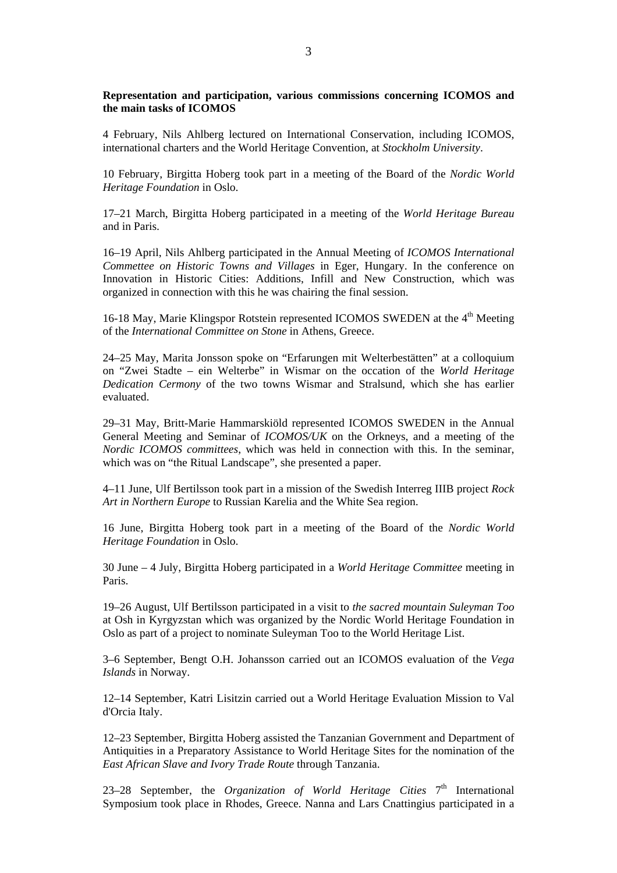#### **Representation and participation, various commissions concerning ICOMOS and the main tasks of ICOMOS**

4 February, Nils Ahlberg lectured on International Conservation, including ICOMOS, international charters and the World Heritage Convention, at *Stockholm University*.

10 February, Birgitta Hoberg took part in a meeting of the Board of the *Nordic World Heritage Foundation* in Oslo.

17–21 March, Birgitta Hoberg participated in a meeting of the *World Heritage Bureau* and in Paris.

16–19 April, Nils Ahlberg participated in the Annual Meeting of *ICOMOS International Commettee on Historic Towns and Villages* in Eger, Hungary. In the conference on Innovation in Historic Cities: Additions, Infill and New Construction, which was organized in connection with this he was chairing the final session.

16-18 May, Marie Klingspor Rotstein represented ICOMOS SWEDEN at the 4<sup>th</sup> Meeting of the *International Committee on Stone* in Athens, Greece.

24–25 May, Marita Jonsson spoke on "Erfarungen mit Welterbestätten" at a colloquium on "Zwei Stadte – ein Welterbe" in Wismar on the occation of the *World Heritage Dedication Cermony* of the two towns Wismar and Stralsund, which she has earlier evaluated.

29–31 May, Britt-Marie Hammarskiöld represented ICOMOS SWEDEN in the Annual General Meeting and Seminar of *ICOMOS/UK* on the Orkneys, and a meeting of the *Nordic ICOMOS committees*, which was held in connection with this. In the seminar, which was on "the Ritual Landscape", she presented a paper.

4–11 June, Ulf Bertilsson took part in a mission of the Swedish Interreg IIIB project *Rock Art in Northern Europe* to Russian Karelia and the White Sea region.

16 June, Birgitta Hoberg took part in a meeting of the Board of the *Nordic World Heritage Foundation* in Oslo.

30 June – 4 July, Birgitta Hoberg participated in a *World Heritage Committee* meeting in Paris.

19–26 August, Ulf Bertilsson participated in a visit to *the sacred mountain Suleyman Too* at Osh in Kyrgyzstan which was organized by the Nordic World Heritage Foundation in Oslo as part of a project to nominate Suleyman Too to the World Heritage List.

3–6 September, Bengt O.H. Johansson carried out an ICOMOS evaluation of the *Vega Islands* in Norway.

12–14 September, Katri Lisitzin carried out a World Heritage Evaluation Mission to Val d'Orcia Italy.

12–23 September, Birgitta Hoberg assisted the Tanzanian Government and Department of Antiquities in a Preparatory Assistance to World Heritage Sites for the nomination of the *East African Slave and Ivory Trade Route* through Tanzania.

23–28 September, the *Organization of World Heritage Cities*  $7<sup>th</sup>$  International Symposium took place in Rhodes, Greece. Nanna and Lars Cnattingius participated in a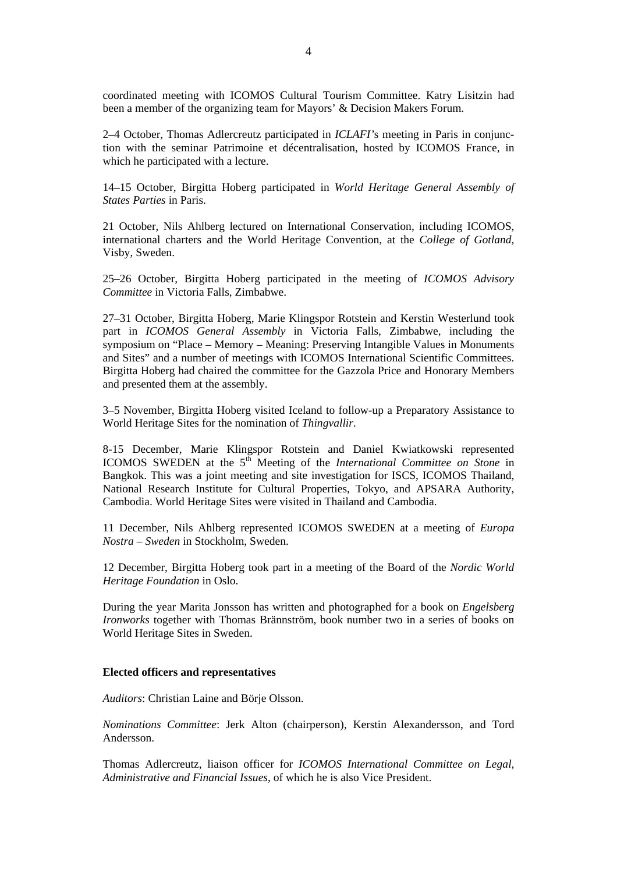coordinated meeting with ICOMOS Cultural Tourism Committee. Katry Lisitzin had been a member of the organizing team for Mayors' & Decision Makers Forum.

2–4 October, Thomas Adlercreutz participated in *ICLAFI'*s meeting in Paris in conjunction with the seminar Patrimoine et décentralisation, hosted by ICOMOS France, in which he participated with a lecture.

14–15 October, Birgitta Hoberg participated in *World Heritage General Assembly of States Parties* in Paris.

21 October, Nils Ahlberg lectured on International Conservation, including ICOMOS, international charters and the World Heritage Convention, at the *College of Gotland*, Visby, Sweden.

25–26 October, Birgitta Hoberg participated in the meeting of *ICOMOS Advisory Committee* in Victoria Falls, Zimbabwe.

27–31 October, Birgitta Hoberg, Marie Klingspor Rotstein and Kerstin Westerlund took part in *ICOMOS General Assembly* in Victoria Falls, Zimbabwe, including the symposium on "Place – Memory – Meaning: Preserving Intangible Values in Monuments and Sites" and a number of meetings with ICOMOS International Scientific Committees. Birgitta Hoberg had chaired the committee for the Gazzola Price and Honorary Members and presented them at the assembly.

3–5 November, Birgitta Hoberg visited Iceland to follow-up a Preparatory Assistance to World Heritage Sites for the nomination of *Thingvallir*.

8-15 December, Marie Klingspor Rotstein and Daniel Kwiatkowski represented ICOMOS SWEDEN at the 5<sup>th</sup> Meeting of the *International Committee on Stone* in Bangkok. This was a joint meeting and site investigation for ISCS, ICOMOS Thailand, National Research Institute for Cultural Properties, Tokyo, and APSARA Authority, Cambodia. World Heritage Sites were visited in Thailand and Cambodia.

11 December, Nils Ahlberg represented ICOMOS SWEDEN at a meeting of *Europa Nostra – Sweden* in Stockholm, Sweden.

12 December, Birgitta Hoberg took part in a meeting of the Board of the *Nordic World Heritage Foundation* in Oslo.

During the year Marita Jonsson has written and photographed for a book on *Engelsberg Ironworks* together with Thomas Brännström, book number two in a series of books on World Heritage Sites in Sweden.

#### **Elected officers and representatives**

*Auditors*: Christian Laine and Börje Olsson.

*Nominations Committee*: Jerk Alton (chairperson), Kerstin Alexandersson, and Tord Andersson.

Thomas Adlercreutz, liaison officer for *ICOMOS International Committee on Legal, Administrative and Financial Issues*, of which he is also Vice President.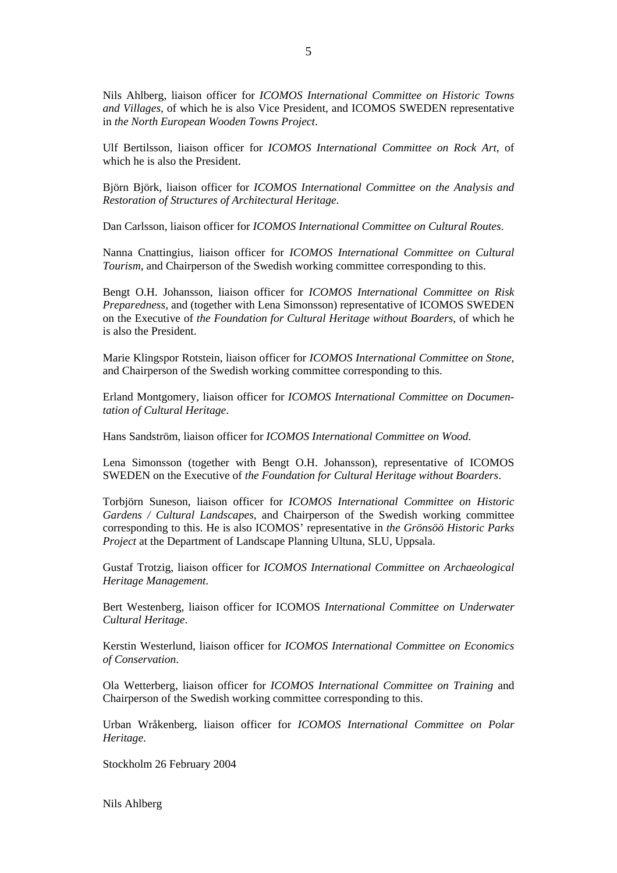Nils Ahlberg, liaison officer for *ICOMOS International Committee on Historic Towns and Villages*, of which he is also Vice President, and ICOMOS SWEDEN representative in *the North European Wooden Towns Project*.

Ulf Bertilsson, liaison officer for *ICOMOS International Committee on Rock Art*, of which he is also the President.

Björn Björk, liaison officer for *ICOMOS International Committee on the Analysis and Restoration of Structures of Architectural Heritage*.

Dan Carlsson, liaison officer for *ICOMOS International Committee on Cultural Routes*.

Nanna Cnattingius, liaison officer for *ICOMOS International Committee on Cultural Tourism*, and Chairperson of the Swedish working committee corresponding to this.

Bengt O.H. Johansson, liaison officer for *ICOMOS International Committee on Risk Preparedness*, and (together with Lena Simonsson) representative of ICOMOS SWEDEN on the Executive of *the Foundation for Cultural Heritage without Boarders*, of which he is also the President.

Marie Klingspor Rotstein, liaison officer for *ICOMOS International Committee on Stone*, and Chairperson of the Swedish working committee corresponding to this.

Erland Montgomery, liaison officer for *ICOMOS International Committee on Documentation of Cultural Heritage*.

Hans Sandström, liaison officer for *ICOMOS International Committee on Wood*.

Lena Simonsson (together with Bengt O.H. Johansson), representative of ICOMOS SWEDEN on the Executive of *the Foundation for Cultural Heritage without Boarders*.

Torbjörn Suneson, liaison officer for *ICOMOS International Committee on Historic Gardens / Cultural Landscapes*, and Chairperson of the Swedish working committee corresponding to this. He is also ICOMOS' representative in *the Grönsöö Historic Parks Project* at the Department of Landscape Planning Ultuna, SLU, Uppsala.

Gustaf Trotzig, liaison officer for *ICOMOS International Committee on Archaeological Heritage Management*.

Bert Westenberg, liaison officer for ICOMOS *International Committee on Underwater Cultural Heritage*.

Kerstin Westerlund, liaison officer for *ICOMOS International Committee on Economics of Conservation*.

Ola Wetterberg, liaison officer for *ICOMOS International Committee on Training* and Chairperson of the Swedish working committee corresponding to this.

Urban Wråkenberg, liaison officer for *ICOMOS International Committee on Polar Heritage*.

Stockholm 26 February 2004

Nils Ahlberg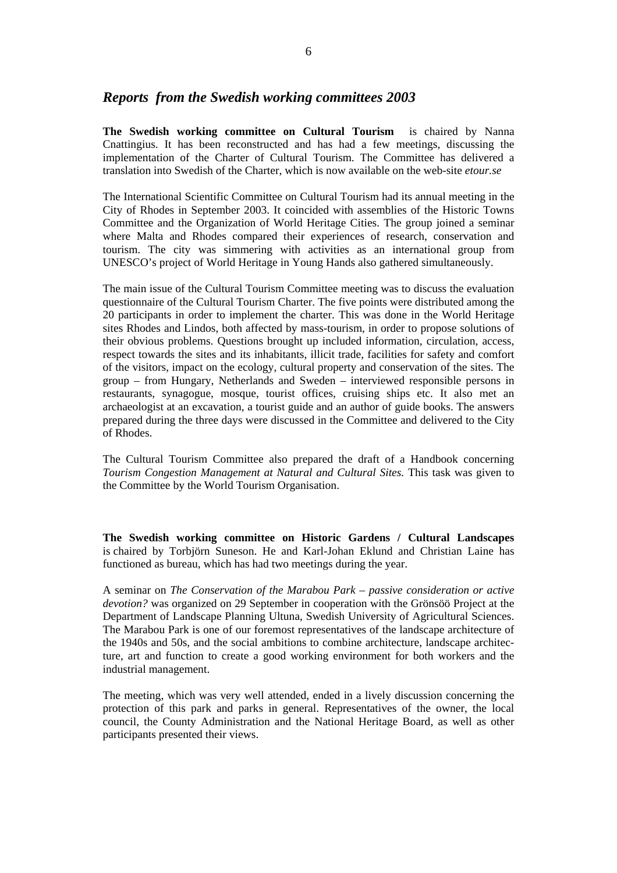### *Reports from the Swedish working committees 2003*

**The Swedish working committee on Cultural Tourism** is chaired by Nanna Cnattingius. It has been reconstructed and has had a few meetings, discussing the implementation of the Charter of Cultural Tourism. The Committee has delivered a translation into Swedish of the Charter, which is now available on the web-site *etour.se*

The International Scientific Committee on Cultural Tourism had its annual meeting in the City of Rhodes in September 2003. It coincided with assemblies of the Historic Towns Committee and the Organization of World Heritage Cities. The group joined a seminar where Malta and Rhodes compared their experiences of research, conservation and tourism. The city was simmering with activities as an international group from UNESCO's project of World Heritage in Young Hands also gathered simultaneously.

The main issue of the Cultural Tourism Committee meeting was to discuss the evaluation questionnaire of the Cultural Tourism Charter. The five points were distributed among the 20 participants in order to implement the charter. This was done in the World Heritage sites Rhodes and Lindos, both affected by mass-tourism, in order to propose solutions of their obvious problems. Questions brought up included information, circulation, access, respect towards the sites and its inhabitants, illicit trade, facilities for safety and comfort of the visitors, impact on the ecology, cultural property and conservation of the sites. The group – from Hungary, Netherlands and Sweden – interviewed responsible persons in restaurants, synagogue, mosque, tourist offices, cruising ships etc. It also met an archaeologist at an excavation, a tourist guide and an author of guide books. The answers prepared during the three days were discussed in the Committee and delivered to the City of Rhodes.

The Cultural Tourism Committee also prepared the draft of a Handbook concerning *Tourism Congestion Management at Natural and Cultural Sites.* This task was given to the Committee by the World Tourism Organisation.

**The Swedish working committee on Historic Gardens / Cultural Landscapes** is chaired by Torbjörn Suneson. He and Karl-Johan Eklund and Christian Laine has functioned as bureau, which has had two meetings during the year.

A seminar on *The Conservation of the Marabou Park – passive consideration or active devotion?* was organized on 29 September in cooperation with the Grönsöö Project at the Department of Landscape Planning Ultuna, Swedish University of Agricultural Sciences. The Marabou Park is one of our foremost representatives of the landscape architecture of the 1940s and 50s, and the social ambitions to combine architecture, landscape architecture, art and function to create a good working environment for both workers and the industrial management.

The meeting, which was very well attended, ended in a lively discussion concerning the protection of this park and parks in general. Representatives of the owner, the local council, the County Administration and the National Heritage Board, as well as other participants presented their views.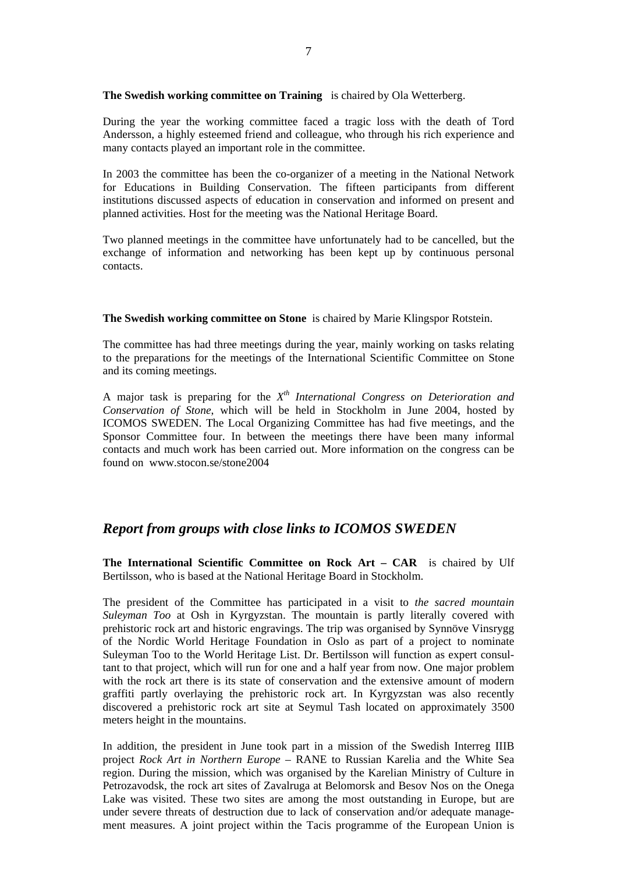**The Swedish working committee on Training** is chaired by Ola Wetterberg.

During the year the working committee faced a tragic loss with the death of Tord Andersson, a highly esteemed friend and colleague, who through his rich experience and many contacts played an important role in the committee.

In 2003 the committee has been the co-organizer of a meeting in the National Network for Educations in Building Conservation. The fifteen participants from different institutions discussed aspects of education in conservation and informed on present and planned activities. Host for the meeting was the National Heritage Board.

Two planned meetings in the committee have unfortunately had to be cancelled, but the exchange of information and networking has been kept up by continuous personal contacts.

**The Swedish working committee on Stone** is chaired by Marie Klingspor Rotstein.

The committee has had three meetings during the year, mainly working on tasks relating to the preparations for the meetings of the International Scientific Committee on Stone and its coming meetings.

A major task is preparing for the *Xth International Congress on Deterioration and Conservation of Stone*, which will be held in Stockholm in June 2004, hosted by ICOMOS SWEDEN. The Local Organizing Committee has had five meetings, and the Sponsor Committee four. In between the meetings there have been many informal contacts and much work has been carried out. More information on the congress can be found on www.stocon.se/stone2004

## *Report from groups with close links to ICOMOS SWEDEN*

**The International Scientific Committee on Rock Art – CAR** is chaired by Ulf Bertilsson, who is based at the National Heritage Board in Stockholm.

The president of the Committee has participated in a visit to *the sacred mountain Suleyman Too* at Osh in Kyrgyzstan. The mountain is partly literally covered with prehistoric rock art and historic engravings. The trip was organised by Synnöve Vinsrygg of the Nordic World Heritage Foundation in Oslo as part of a project to nominate Suleyman Too to the World Heritage List. Dr. Bertilsson will function as expert consultant to that project, which will run for one and a half year from now. One major problem with the rock art there is its state of conservation and the extensive amount of modern graffiti partly overlaying the prehistoric rock art. In Kyrgyzstan was also recently discovered a prehistoric rock art site at Seymul Tash located on approximately 3500 meters height in the mountains.

In addition, the president in June took part in a mission of the Swedish Interreg IIIB project *Rock Art in Northern Europe* – RANE to Russian Karelia and the White Sea region. During the mission, which was organised by the Karelian Ministry of Culture in Petrozavodsk, the rock art sites of Zavalruga at Belomorsk and Besov Nos on the Onega Lake was visited. These two sites are among the most outstanding in Europe, but are under severe threats of destruction due to lack of conservation and/or adequate management measures. A joint project within the Tacis programme of the European Union is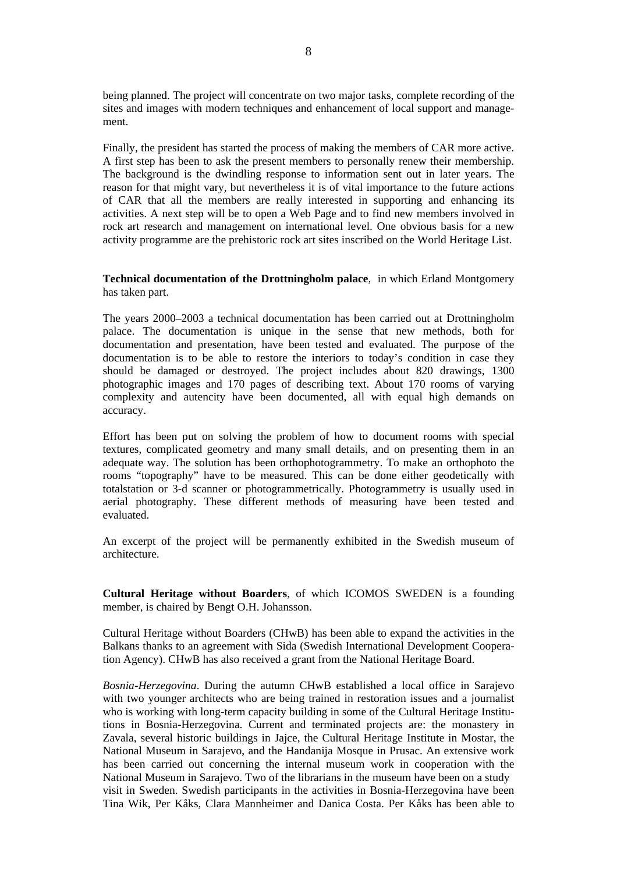being planned. The project will concentrate on two major tasks, complete recording of the sites and images with modern techniques and enhancement of local support and management.

Finally, the president has started the process of making the members of CAR more active. A first step has been to ask the present members to personally renew their membership. The background is the dwindling response to information sent out in later years. The reason for that might vary, but nevertheless it is of vital importance to the future actions of CAR that all the members are really interested in supporting and enhancing its activities. A next step will be to open a Web Page and to find new members involved in rock art research and management on international level. One obvious basis for a new activity programme are the prehistoric rock art sites inscribed on the World Heritage List.

#### **Technical documentation of the Drottningholm palace**, in which Erland Montgomery has taken part.

The years 2000–2003 a technical documentation has been carried out at Drottningholm palace. The documentation is unique in the sense that new methods, both for documentation and presentation, have been tested and evaluated. The purpose of the documentation is to be able to restore the interiors to today's condition in case they should be damaged or destroyed. The project includes about 820 drawings, 1300 photographic images and 170 pages of describing text. About 170 rooms of varying complexity and autencity have been documented, all with equal high demands on accuracy.

Effort has been put on solving the problem of how to document rooms with special textures, complicated geometry and many small details, and on presenting them in an adequate way. The solution has been orthophotogrammetry. To make an orthophoto the rooms "topography" have to be measured. This can be done either geodetically with totalstation or 3-d scanner or photogrammetrically. Photogrammetry is usually used in aerial photography. These different methods of measuring have been tested and evaluated.

An excerpt of the project will be permanently exhibited in the Swedish museum of architecture.

**Cultural Heritage without Boarders**, of which ICOMOS SWEDEN is a founding member, is chaired by Bengt O.H. Johansson.

Cultural Heritage without Boarders (CHwB) has been able to expand the activities in the Balkans thanks to an agreement with Sida (Swedish International Development Cooperation Agency). CHwB has also received a grant from the National Heritage Board.

*Bosnia-Herzegovina*. During the autumn CHwB established a local office in Sarajevo with two younger architects who are being trained in restoration issues and a journalist who is working with long-term capacity building in some of the Cultural Heritage Institutions in Bosnia-Herzegovina. Current and terminated projects are: the monastery in Zavala, several historic buildings in Jajce, the Cultural Heritage Institute in Mostar, the National Museum in Sarajevo, and the Handanija Mosque in Prusac. An extensive work has been carried out concerning the internal museum work in cooperation with the National Museum in Sarajevo. Two of the librarians in the museum have been on a study visit in Sweden. Swedish participants in the activities in Bosnia-Herzegovina have been Tina Wik, Per Kåks, Clara Mannheimer and Danica Costa. Per Kåks has been able to